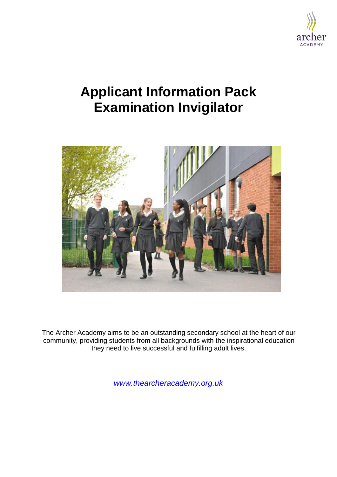

# **Applicant Information Pack Examination Invigilator**



The Archer Academy aims to be an outstanding secondary school at the heart of our community, providing students from all backgrounds with the inspirational education they need to live successful and fulfilling adult lives.

*[www.thearcheracademy.org.uk](http://www.thearcheracademy.org.uk/)*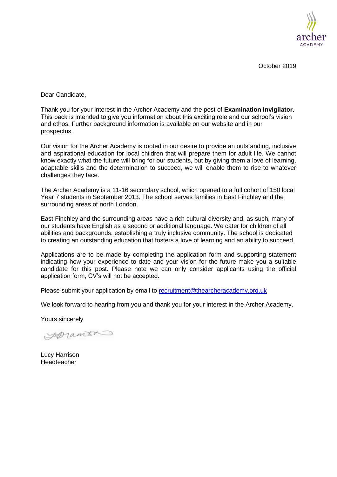

October 2019

Dear Candidate,

Thank you for your interest in the Archer Academy and the post of **Examination Invigilator**. This pack is intended to give you information about this exciting role and our school's vision and ethos. Further background information is available on our website and in our prospectus.

Our vision for the Archer Academy is rooted in our desire to provide an outstanding, inclusive and aspirational education for local children that will prepare them for adult life. We cannot know exactly what the future will bring for our students, but by giving them a love of learning, adaptable skills and the determination to succeed, we will enable them to rise to whatever challenges they face.

The Archer Academy is a 11-16 secondary school, which opened to a full cohort of 150 local Year 7 students in September 2013. The school serves families in East Finchley and the surrounding areas of north London.

East Finchley and the surrounding areas have a rich cultural diversity and, as such, many of our students have English as a second or additional language. We cater for children of all abilities and backgrounds, establishing a truly inclusive community. The school is dedicated to creating an outstanding education that fosters a love of learning and an ability to succeed.

Applications are to be made by completing the application form and supporting statement indicating how your experience to date and your vision for the future make you a suitable candidate for this post. Please note we can only consider applicants using the official application form, CV's will not be accepted.

Please submit your application by email to [recruitment@thearcheracademy.org.uk](mailto:recruitment@thearcheracademy.org.uk)

We look forward to hearing from you and thank you for your interest in the Archer Academy.

Yours sincerely

Spramon

Lucy Harrison Headteacher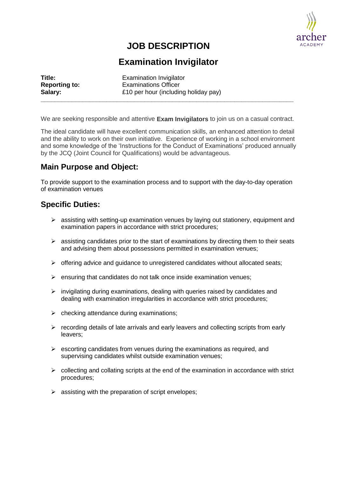

## **JOB DESCRIPTION**

## **Examination Invigilator**

| Title:               | <b>Examination Invigilator</b>       |
|----------------------|--------------------------------------|
| <b>Reporting to:</b> | <b>Examinations Officer</b>          |
| Salary:              | £10 per hour (including holiday pay) |

We are seeking responsible and attentive **Exam Invigilators** to join us on a casual contract.

The ideal candidate will have excellent communication skills, an enhanced attention to detail and the ability to work on their own initiative. Experience of working in a school environment and some knowledge of the 'Instructions for the Conduct of Examinations' produced annually by the JCQ (Joint Council for Qualifications) would be advantageous.

#### **Main Purpose and Object:**

To provide support to the examination process and to support with the day-to-day operation of examination venues

#### **Specific Duties:**

- $\triangleright$  assisting with setting-up examination venues by laying out stationery, equipment and examination papers in accordance with strict procedures;
- $\triangleright$  assisting candidates prior to the start of examinations by directing them to their seats and advising them about possessions permitted in examination venues;
- $\triangleright$  offering advice and guidance to unregistered candidates without allocated seats;
- $\triangleright$  ensuring that candidates do not talk once inside examination venues;
- $\triangleright$  invigilating during examinations, dealing with queries raised by candidates and dealing with examination irregularities in accordance with strict procedures;
- $\triangleright$  checking attendance during examinations;
- $\triangleright$  recording details of late arrivals and early leavers and collecting scripts from early leavers;
- $\triangleright$  escorting candidates from venues during the examinations as required, and supervising candidates whilst outside examination venues;
- $\triangleright$  collecting and collating scripts at the end of the examination in accordance with strict procedures;
- $\triangleright$  assisting with the preparation of script envelopes;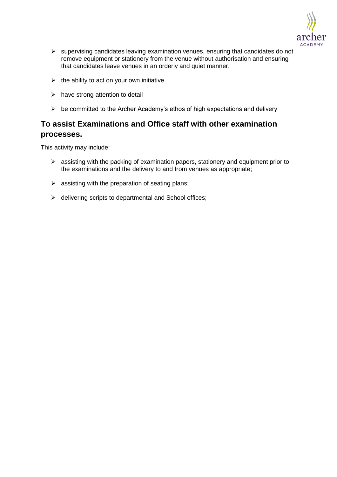

- $\triangleright$  supervising candidates leaving examination venues, ensuring that candidates do not remove equipment or stationery from the venue without authorisation and ensuring that candidates leave venues in an orderly and quiet manner.
- $\triangleright$  the ability to act on your own initiative
- $\triangleright$  have strong attention to detail
- $\triangleright$  be committed to the Archer Academy's ethos of high expectations and delivery

### **To assist Examinations and Office staff with other examination processes.**

This activity may include:

- $\triangleright$  assisting with the packing of examination papers, stationery and equipment prior to the examinations and the delivery to and from venues as appropriate;
- $\triangleright$  assisting with the preparation of seating plans;
- $\triangleright$  delivering scripts to departmental and School offices;